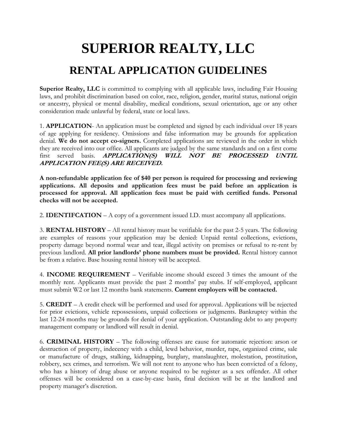## **SUPERIOR REALTY, LLC RENTAL APPLICATION GUIDELINES**

**Superior Realty, LLC** is committed to complying with all applicable laws, including Fair Housing laws, and prohibit discrimination based on color, race, religion, gender, marital status, national origin or ancestry, physical or mental disability, medical conditions, sexual orientation, age or any other consideration made unlawful by federal, state or local laws.

1. **APPLICATION**- An application must be completed and signed by each individual over 18 years of age applying for residency. Omissions and false information may be grounds for application denial. **We do not accept co-signers.** Completed applications are reviewed in the order in which they are received into our office. All applicants are judged by the same standards and on a first come first served basis. **APPLICATION(S) WILL NOT BE PROCESSED UNTIL APPLICATION FEE(S) ARE RECEIVED.** 

**A non-refundable application fee of \$40 per person is required for processing and reviewing applications. All deposits and application fees must be paid before an application is processed for approval. All application fees must be paid with certified funds. Personal checks will not be accepted.** 

2. **IDENTIFCATION** – A copy of a government issued I.D. must accompany all applications.

3. **RENTAL HISTORY** – All rental history must be verifiable for the past 2-5 years. The following are examples of reasons your application may be denied: Unpaid rental collections, evictions, property damage beyond normal wear and tear, illegal activity on premises or refusal to re-rent by previous landlord. **All prior landlords' phone numbers must be provided.** Rental history cannot be from a relative. Base housing rental history will be accepted.

4. **INCOME REQUIREMENT** – Verifiable income should exceed 3 times the amount of the monthly rent. Applicants must provide the past 2 months' pay stubs. If self-employed, applicant must submit W2 or last 12 months bank statements. **Current employers will be contacted.** 

5. **CREDIT** – A credit check will be performed and used for approval. Applications will be rejected for prior evictions, vehicle repossessions, unpaid collections or judgments. Bankruptcy within the last 12-24 months may be grounds for denial of your application. Outstanding debt to any property management company or landlord will result in denial.

6. **CRIMINAL HISTORY** – The following offenses are cause for automatic rejection: arson or destruction of property, indecency with a child, lewd behavior, murder, rape, organized crime, sale or manufacture of drugs, stalking, kidnapping, burglary, manslaughter, molestation, prostitution, robbery, sex crimes, and terrorism. We will not rent to anyone who has been convicted of a felony, who has a history of drug abuse or anyone required to be register as a sex offender. All other offenses will be considered on a case-by-case basis, final decision will be at the landlord and property manager's discretion.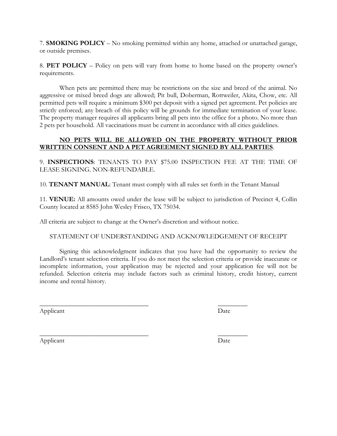7. **SMOKING POLICY** – No smoking permitted within any home, attached or unattached garage, or outside premises.

8. **PET POLICY** – Policy on pets will vary from home to home based on the property owner's requirements.

When pets are permitted there may be restrictions on the size and breed of the animal. No aggressive or mixed breed dogs are allowed; Pit bull, Doberman, Rottweiler, Akita, Chow, etc. All permitted pets will require a minimum \$300 pet deposit with a signed pet agreement. Pet policies are strictly enforced; any breach of this policy will be grounds for immediate termination of your lease. The property manager requires all applicants bring all pets into the office for a photo. No more than 2 pets per household. All vaccinations must be current in accordance with all cities guidelines.

## **NO PETS WILL BE ALLOWED ON THE PROPERTY WITHOUT PRIOR WRITTEN CONSENT AND A PET AGREEMENT SIGNED BY ALL PARTIES**.

9. **INSPECTIONS**: TENANTS TO PAY \$75.00 INSPECTION FEE AT THE TIME OF LEASE SIGNING. NON-REFUNDABLE.

10. **TENANT MANUAL**: Tenant must comply with all rules set forth in the Tenant Manual

11. **VENUE:** All amounts owed under the lease will be subject to jurisdiction of Precinct 4, Collin County located at 8585 John Wesley Frisco, TX 75034.

All criteria are subject to change at the Owner's discretion and without notice.

 $\overline{\phantom{a}}$  , where  $\overline{\phantom{a}}$  , where  $\overline{\phantom{a}}$  ,  $\overline{\phantom{a}}$  ,  $\overline{\phantom{a}}$  ,  $\overline{\phantom{a}}$  ,  $\overline{\phantom{a}}$  ,  $\overline{\phantom{a}}$  ,  $\overline{\phantom{a}}$  ,  $\overline{\phantom{a}}$  ,  $\overline{\phantom{a}}$  ,  $\overline{\phantom{a}}$  ,  $\overline{\phantom{a}}$  ,  $\overline{\phantom{a}}$  ,  $\overline{\phantom{a}}$  ,

 $\overline{\phantom{a}}$  , where  $\overline{\phantom{a}}$  , where  $\overline{\phantom{a}}$  ,  $\overline{\phantom{a}}$  ,  $\overline{\phantom{a}}$  ,  $\overline{\phantom{a}}$  ,  $\overline{\phantom{a}}$  ,  $\overline{\phantom{a}}$  ,  $\overline{\phantom{a}}$  ,  $\overline{\phantom{a}}$  ,  $\overline{\phantom{a}}$  ,  $\overline{\phantom{a}}$  ,  $\overline{\phantom{a}}$  ,  $\overline{\phantom{a}}$  ,  $\overline{\phantom{a}}$  ,

## STATEMENT OF UNDERSTANDING AND ACKNOWLEDGEMENT OF RECEIPT

Signing this acknowledgment indicates that you have had the opportunity to review the Landlord's tenant selection criteria. If you do not meet the selection criteria or provide inaccurate or incomplete information, your application may be rejected and your application fee will not be refunded. Selection criteria may include factors such as criminal history, credit history, current income and rental history.

Applicant Date

Applicant Date